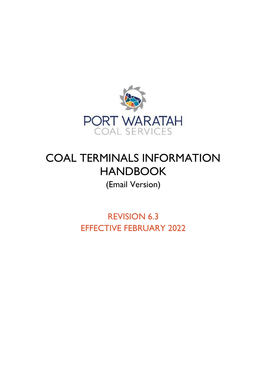

# COAL TERMINALS INFORMATION HANDBOOK

# (Email Version)

REVISION 6.3 EFFECTIVE FEBRUARY 2022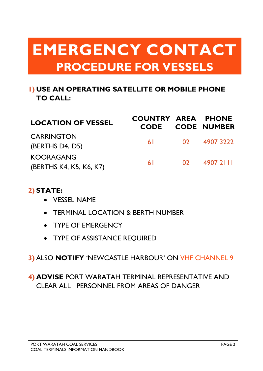# **EMERGENCY CONTACT PROCEDURE FOR VESSELS**

# **1) USE AN OPERATING SATELLITE OR MOBILE PHONE TO CALL:**

| <b>LOCATION OF VESSEL</b>                   | <b>COUNTRY AREA PHONE</b> |                 | <b>CODE CODE NUMBER</b> |
|---------------------------------------------|---------------------------|-----------------|-------------------------|
| <b>CARRINGTON</b><br>(BERTHS D4, D5)        | 61 - 10                   |                 | 02 4907 3222            |
| <b>KOORAGANG</b><br>(BERTHS K4, K5, K6, K7) | 6 I                       | 02 <sup>1</sup> | 4907 2111               |

# **2) STATE:**

- VESSEL NAME
- TERMINAL LOCATION & BERTH NUMBER
- TYPE OF EMERGENCY
- TYPE OF ASSISTANCE REQUIRED

# **3)** ALSO **NOTIFY** 'NEWCASTLE HARBOUR' ON VHF CHANNEL 9

# **4) ADVISE** PORT WARATAH TERMINAL REPRESENTATIVE AND CLEAR ALL PERSONNEL FROM AREAS OF DANGER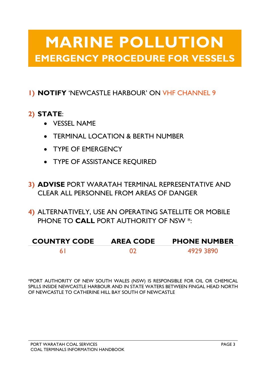# **MARINE POLLUTION EMERGENCY PROCEDURE FOR VESSELS**

# **1) NOTIFY** 'NEWCASTLE HARBOUR' ON VHF CHANNEL 9

# **2) STATE**:

- VESSEL NAME
- TERMINAL LOCATION & BERTH NUMBER
- TYPE OF EMERGENCY
- TYPE OF ASSISTANCE REQUIRED
- **3) ADVISE** PORT WARATAH TERMINAL REPRESENTATIVE AND CLEAR ALL PERSONNEL FROM AREAS OF DANGER
- **4)** ALTERNATIVELY, USE AN OPERATING SATELLITE OR MOBILE PHONE TO **CALL** PORT AUTHORITY OF NSW \*:

| <b>COUNTRY CODE</b> | <b>AREA CODE</b> | <b>PHONE NUMBER</b> |
|---------------------|------------------|---------------------|
|                     |                  | 4929 3890           |

\*PORT AUTHORITY OF NEW SOUTH WALES (NSW) IS RESPONSIBLE FOR OIL OR CHEMICAL SPILLS INSIDE NEWCASTLE HARBOUR AND IN STATE WATERS BETWEEN FINGAL HEAD NORTH OF NEWCASTLE TO CATHERINE HILL BAY SOUTH OF NEWCASTLE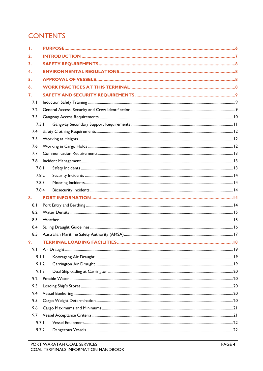# **CONTENTS**

| T.    |                                    |     |
|-------|------------------------------------|-----|
| 2.    |                                    |     |
| 3.    |                                    |     |
| 4.    |                                    |     |
| 5.    |                                    |     |
| 6.    |                                    |     |
| 7.    |                                    |     |
| 7.1   |                                    |     |
| 7.2   |                                    |     |
| 7.3   |                                    |     |
| 7.3.1 |                                    |     |
| 7.4   |                                    |     |
| 7.5   |                                    |     |
| 7.6   |                                    |     |
| 7.7   |                                    |     |
| 7.8   |                                    |     |
| 7.8.1 |                                    |     |
| 7.8.2 |                                    |     |
| 7.8.3 |                                    |     |
| 7.8.4 |                                    |     |
| 8.    |                                    |     |
| 8.1   |                                    |     |
| 8.2   |                                    |     |
| 8.3   |                                    |     |
| 8.4   |                                    |     |
| 8.5   |                                    |     |
| 9.    | <b>TERMINAL LOADING FACILITIES</b> | .18 |
| 9.1   |                                    |     |
| 9.1.1 |                                    |     |
| 9.1.2 |                                    |     |
| 9.1.3 |                                    |     |
| 9.2   |                                    |     |
| 9.3   |                                    |     |
| 9.4   |                                    |     |
| 9.5   |                                    |     |
| 9.6   |                                    |     |
| 9.7   |                                    |     |
| 9.7.1 |                                    |     |
| 9.7.2 |                                    |     |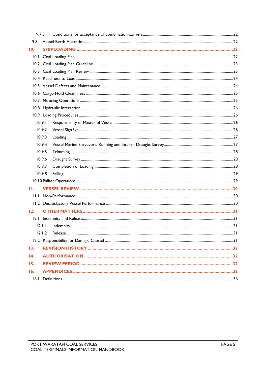| 9.7.3           |        |  |
|-----------------|--------|--|
| 9.8             |        |  |
| 10.             |        |  |
|                 |        |  |
|                 |        |  |
|                 |        |  |
|                 |        |  |
|                 |        |  |
|                 |        |  |
|                 |        |  |
|                 |        |  |
|                 |        |  |
|                 | 10.9.1 |  |
|                 | 10.9.2 |  |
|                 | 10.9.3 |  |
|                 | 10.9.4 |  |
|                 | 10.9.5 |  |
|                 | 10.9.6 |  |
|                 | 10.9.7 |  |
|                 | 10.9.8 |  |
|                 |        |  |
| H.              |        |  |
|                 |        |  |
|                 |        |  |
| 12.             |        |  |
|                 |        |  |
|                 | 12.1.1 |  |
|                 | 12.1.2 |  |
|                 |        |  |
| 13.             |        |  |
| $\overline{14}$ |        |  |
| 15.             |        |  |
| 16.             |        |  |
|                 |        |  |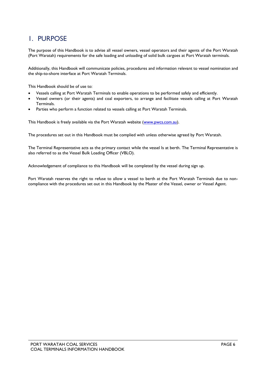# <span id="page-5-0"></span>1. PURPOSE

The purpose of this Handbook is to advise all vessel owners, vessel operators and their agents of the Port Waratah (Port Waratah) requirements for the safe loading and unloading of solid bulk cargoes at Port Waratah terminals.

Additionally, this Handbook will communicate policies, procedures and information relevant to vessel nomination and the ship-to-shore interface at Port Waratah Terminals.

This Handbook should be of use to:

- Vessels calling at Port Waratah Terminals to enable operations to be performed safely and efficiently.
- Vessel owners (or their agents) and coal exporters, to arrange and facilitate vessels calling at Port Waratah Terminals.
- Parties who perform a function related to vessels calling at Port Waratah Terminals.

This Handbook is freely available via the Port Waratah website [\(www.pwcs.com.au\)](http://www.pwcs.com.au/).

The procedures set out in this Handbook must be complied with unless otherwise agreed by Port Waratah.

The Terminal Representative acts as the primary contact while the vessel Is at berth. The Terminal Representative is also referred to as the Vessel Bulk Loading Officer (VBLO).

Acknowledgement of compliance to this Handbook will be completed by the vessel during sign up.

Port Waratah reserves the right to refuse to allow a vessel to berth at the Port Waratah Terminals due to noncompliance with the procedures set out in this Handbook by the Master of the Vessel, owner or Vessel Agent.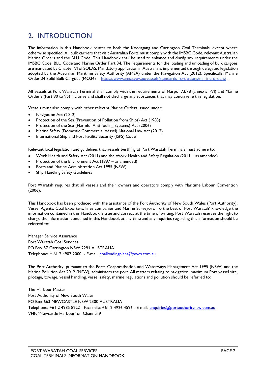# <span id="page-6-0"></span>2. INTRODUCTION

The information in this Handbook relates to both the Kooragang and Carrington Coal Terminals, except where otherwise specified. All bulk carriers that visit Australian Ports must comply with the IMSBC Code, relevant Australian Marine Orders and the BLU Code. This Handbook shall be used to enhance and clarify any requirements under the IMSBC Code, BLU Code and Marine Order Part 34. The requirements for the loading and unloading of bulk cargoes are mandated by Chapter VI of SOLAS. Mandatory application in Australia is implemented through delegated legislation adopted by the Australian Maritime Safety Authority (AMSA) under the Navigation Act (2012). Specifically, Marine Order 34 Solid Bulk Cargoes (MO34) -<https://www.amsa.gov.au/vessels/standards-regulations/marine-orders/>.

All vessels at Port Waratah Terminal shall comply with the requirements of Marpol 73/78 (annex's I-VI) and Marine Order's (Part 90 to 95) inclusive and shall not discharge any substances that may contravene this legislation.

Vessels must also comply with other relevant Marine Orders issued under:

- Navigation Act (2012)
- Protection of the Sea (Prevention of Pollution from Ships) Act (1983)
- Protection of the Sea (Harmful Anti-fouling Systems) Act (2006)
- Marine Safety (Domestic Commercial Vessel) National Law Act (2012)
- International Ship and Port Facility Security (ISPS) Code

Relevant local legislation and guidelines that vessels berthing at Port Waratah Terminals must adhere to:

- Work Health and Safety Act (2011) and the Work Health and Safety Regulation (2011 as amended)
- Protection of the Environment Act (1997 as amended)
- Ports and Marine Administration Act 1995 (NSW)
- Ship Handling Safety Guidelines

Port Waratah requires that all vessels and their owners and operators comply with Maritime Labour Convention (2006).

This Handbook has been produced with the assistance of the Port Authority of New South Wales (Port Authority), Vessel Agents, Coal Exporters, lines companies and Marine Surveyors. To the best of Port Waratah' knowledge the information contained in this Handbook is true and correct at the time of writing. Port Waratah reserves the right to change the information contained in this Handbook at any time and any inquiries regarding this information should be referred to:

Manager Service Assurance Port Waratah Coal Services PO Box 57 Carrington NSW 2294 AUSTRALIA Telephone**:** + 61 2 4907 2000 - E-mail: [coalloadingplans@pwcs.com.au](mailto:coalloadingplans@pwcs.com.au)

The Port Authority, pursuant to the Ports Corporatisation and Waterways Management Act 1995 (NSW) and the Marine Pollution Act 2012 (NSW), administers the port. All matters relating to navigation, maximum Port vessel size, pilotage, towage, vessel handling, vessel safety, marine regulations and pollution should be referred to:

The Harbour Master Port Authority of New South Wales PO Box 663 NEWCASTLE NSW 2300 AUSTRALIA Telephone: +61 2 4985 8222 - Facsimile: +61 2 4926 4596 - E-mail: [enquiries@portauthoritynsw.com.au](mailto:enquiries@portauthoritynsw.com.au) VHF: 'Newcastle Harbour' on Channel 9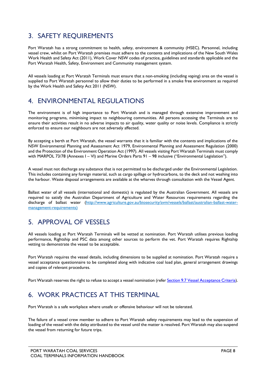# <span id="page-7-0"></span>3. SAFETY REQUIREMENTS

Port Waratah has a strong commitment to health, safety, environment & community (HSEC). Personnel, including vessel crew, whilst on Port Waratah premises must adhere to the contents and implications of the New South Wales Work Health and Safety Act (2011), Work Cover NSW codes of practice, guidelines and standards applicable and the Port Waratah Health, Safety, Environment and Community management system.

All vessels loading at Port Waratah Terminals must ensure that a non-smoking (including vaping) area on the vessel is supplied to Port Waratah personnel to allow their duties to be performed in a smoke free environment as required by the Work Health and Safety Act 2011 (NSW).

# <span id="page-7-1"></span>4. ENVIRONMENTAL REGULATIONS

The environment is of high importance to Port Waratah and is managed through extensive improvement and monitoring programs, minimising impact to neighbouring communities. All persons accessing the Terminals are to ensure their activities result in no adverse impacts to air quality, water quality or noise levels. Compliance is strictly enforced to ensure our neighbours are not adversely affected.

By accepting a berth at Port Waratah, the vessel warrants that it is familiar with the contents and implications of the NSW Environmental Planning and Assessment Act 1979, Environmental Planning and Assessment Regulation (2000) and the Protection of the Environment Operation Act (1997). All vessels visiting Port Waratah Terminals must comply with MARPOL 73/78 (Annexes I – VI) and Marine Orders Parts 91 – 98 inclusive ("Environmental Legislation").

A vessel must not discharge any substance that is not permitted to be discharged under the Environmental Legislation. This includes containing any foreign material, such as cargo spillage or hydrocarbons, to the deck and not washing into the harbour. Waste disposal arrangements are available at the wharves through consultation with the Vessel Agent.

Ballast water of all vessels (international and domestic) is regulated by the Australian Government. All vessels are required to satisfy the Australian Department of Agriculture and Water Resources requirements regarding the discharge of ballast water [\(http://www.agriculture.gov.au/biosecurity/avm/vessels/ballast/australian-ballast-water](http://www.agriculture.gov.au/biosecurity/avm/vessels/ballast/australian-ballast-water-management-requirements)[management-requirements\)](http://www.agriculture.gov.au/biosecurity/avm/vessels/ballast/australian-ballast-water-management-requirements)

# <span id="page-7-2"></span>5. APPROVAL OF VESSELS

All vessels loading at Port Waratah Terminals will be vetted at nomination. Port Waratah utilises previous loading performance, Rightship and PSC data among other sources to perform the vet. Port Waratah requires Rightship vetting to demonstrate the vessel to be acceptable.

Port Waratah requires the vessel details, including dimensions to be supplied at nomination. Port Waratah require a vessel acceptance questionnaire to be completed along with indicative coal load plan, general arrangement drawings and copies of relevant procedures.

<span id="page-7-3"></span>Port Waratah reserves the right to refuse to accept a vessel nomination (refer Section 9.7 [Vessel Acceptance Criteria\)](#page-20-1).

# 6. WORK PRACTICES AT THIS TERMINAL

Port Waratah is a safe workplace where unsafe or offensive behaviour will not be tolerated.

The failure of a vessel crew member to adhere to Port Waratah safety requirements may lead to the suspension of loading of the vessel with the delay attributed to the vessel until the matter is resolved. Port Waratah may also suspend the vessel from returning for future trips.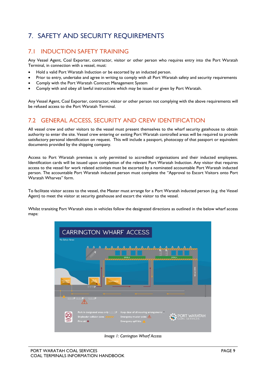# <span id="page-8-0"></span>7. SAFETY AND SECURITY REQUIREMENTS

## <span id="page-8-1"></span>7.1 INDUCTION SAFETY TRAINING

Any Vessel Agent, Coal Exporter, contractor, visitor or other person who requires entry into the Port Waratah Terminal, in connection with a vessel, must:

- Hold a valid Port Waratah Induction or be escorted by an inducted person.
- Prior to entry, undertake and agree in writing to comply with all Port Waratah safety and security requirements
- Comply with the Port Waratah Contract Management System
- Comply with and obey all lawful instructions which may be issued or given by Port Waratah.

Any Vessel Agent, Coal Exporter, contractor, visitor or other person not complying with the above requirements will be refused access to the Port Waratah Terminal.

## <span id="page-8-2"></span>7.2 GENERAL ACCESS, SECURITY AND CREW IDENTIFICATION

All vessel crew and other visitors to the vessel must present themselves to the wharf security gatehouse to obtain authority to enter the site. Vessel crew entering or exiting Port Waratah controlled areas will be required to provide satisfactory personal identification on request. This will include a passport, photocopy of that passport or equivalent documents provided by the shipping company.

Access to Port Waratah premises is only permitted to accredited organisations and their inducted employees. Identification cards will be issued upon completion of the relevant Port Waratah Induction. Any visitor that requires access to the vessel for work related activities must be escorted by a nominated accountable Port Waratah inducted person. The accountable Port Waratah inducted person must complete the "Approval to Escort Visitors onto Port Waratah Wharves" form.

To facilitate visitor access to the vessel, the Master must arrange for a Port Waratah inducted person (e.g. the Vessel Agent) to meet the visitor at security gatehouse and escort the visitor to the vessel.

Whilst transiting Port Waratah sites in vehicles follow the designated directions as outlined in the below wharf access maps:



*Image 1: Carrington Wharf Access*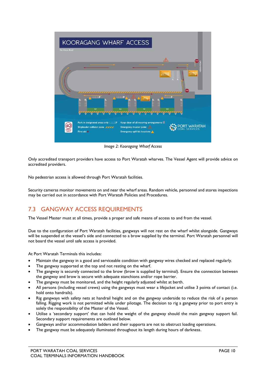

*Image 2: Kooragang Wharf Access*

Only accredited transport providers have access to Port Waratah wharves. The Vessel Agent will provide advice on accredited providers.

No pedestrian access is allowed through Port Waratah facilities.

Security cameras monitor movements on and near the wharf areas. Random vehicle, personnel and stores inspections may be carried out in accordance with Port Waratah Policies and Procedures.

## <span id="page-9-0"></span>7.3 GANGWAY ACCESS REQUIREMENTS

The Vessel Master must at all times, provide a proper and safe means of access to and from the vessel.

Due to the configuration of Port Waratah facilities, gangways will not rest on the wharf whilst alongside. Gangways will be suspended at the vessel's side and connected to a brow supplied by the terminal. Port Waratah personnel will not board the vessel until safe access is provided.

At Port Waratah Terminals this includes:

- Maintain the gangway in a good and serviceable condition with gangway wires checked and replaced regularly.
- The gangway supported at the top and not resting on the wharf.
- The gangway is securely connected to the brow (brow is supplied by terminal). Ensure the connection between the gangway and brow is secure with adequate stanchions and/or rope barrier.
- The gangway must be monitored, and the height regularly adjusted whilst at berth.
- All persons (including vessel crews) using the gangways must wear a lifejacket and utilise 3 points of contact (i.e. hold onto handrails).
- Rig gangways with safety nets at handrail height and on the gangway underside to reduce the risk of a person falling. Rigging work is not permitted while under pilotage. The decision to rig a gangway prior to port entry is solely the responsibility of the Master of the Vessel.
- Utilise a 'secondary support' that can hold the weight of the gangway should the main gangway support fail. Secondary support requirements are outlined below.
- Gangways and/or accommodation ladders and their supports are not to obstruct loading operations.
- The gangway must be adequately illuminated throughout its length during hours of darkness.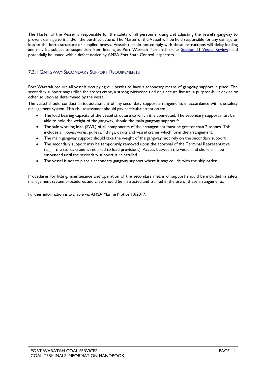The Master of the Vessel is responsible for the safety of all personnel using and adjusting the vessel's gangway to prevent damage to it and/or the berth structure. The Master of the Vessel will be held responsible for any damage or loss to the berth structure or supplied brows. Vessels that do not comply with these instructions will delay loading and may be subject to suspension from loading at Port Waratah Terminals (refer [Section 11 Vessel Review\)](#page-28-2) and potentially be issued with a defect notice by AMSA Port State Control inspectors.

#### <span id="page-10-0"></span>7.3.1 GANGWAY SECONDARY SUPPORT REQUIREMENTS

Port Waratah require all vessels occupying our berths to have a secondary means of gangway support in place. The secondary support may utilise the stores crane, a strong wire/rope tied on a secure fixture, a purpose-built device or other solution as determined by the vessel.

The vessel should conduct a risk assessment of any secondary support arrangements in accordance with the safety management system. This risk assessment should pay particular attention to:

- The load bearing capacity of the vessel structure to which it is connected. The secondary support must be able to hold the weight of the gangway, should the main gangway support fail.
- The safe working load (SWL) of all components of the arrangement must be greater than 2 tonnes. This includes all ropes, wires, pulleys, fittings, davits and vessel cranes which form the arrangement.
- The main gangway support should take the weight of the gangway, not rely on the secondary support.
- The secondary support may be temporarily removed upon the approval of the Terminal Representative (e.g. if the stores crane is required to load provisions). Access between the vessel and shore shall be suspended until the secondary support is reinstalled.
- The vessel is not to place a secondary gangway support where it may collide with the shiploader.

Procedures for fitting, maintenance and operation of the secondary means of support should be included in safety management system procedures and crew should be instructed and trained in the use of these arrangements.

Further information is available via AMSA Marine Notice 13/2017.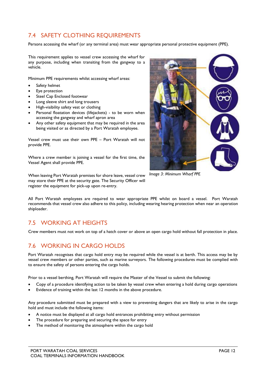## <span id="page-11-0"></span>7.4 SAFETY CLOTHING REQUIREMENTS

Persons accessing the wharf (or any terminal area) must wear appropriate personal protective equipment (PPE).

This requirement applies to vessel crew accessing the wharf for any purpose, including when transiting from the gangway to a vehicle.

Minimum PPE requirements whilst accessing wharf areas:

- Safety helmet
- Eye protection
- Steel Cap Enclosed footwear
- Long sleeve shirt and long trousers
- High-visibility safety vest or clothing
- Personal floatation devices (lifejackets) to be worn when accessing the gangway and wharf apron area
- Any other safety equipment that may be required in the area being visited or as directed by a Port Waratah employee.

Vessel crew must use their own PPE – Port Waratah will not provide PPE.

Where a crew member is joining a vessel for the first time, the Vessel Agent shall provide PPE.

When leaving Port Waratah premises for shore leave, vessel crew may store their PPE at the security gate. The Security Officer will register the equipment for pick-up upon re-entry.



*Image 3: Minimum Wharf PPE*

All Port Waratah employees are required to wear appropriate PPE whilst on board a vessel. Port Waratah recommends that vessel crew also adhere to this policy, including wearing hearing protection when near an operation shiploader.

## <span id="page-11-1"></span>7.5 WORKING AT HEIGHTS

<span id="page-11-2"></span>Crew members must not work on top of a hatch cover or above an open cargo hold without fall protection in place.

## 7.6 WORKING IN CARGO HOLDS

Port Waratah recognises that cargo hold entry may be required while the vessel is at berth. This access may be by vessel crew members or other parties, such as marine surveyors. The following procedures must be complied with to ensure the safety of persons entering the cargo holds.

Prior to a vessel berthing, Port Waratah will require the Master of the Vessel to submit the following:

- Copy of a procedure identifying action to be taken by vessel crew when entering a hold during cargo operations
- Evidence of training within the last 12 months in the above procedure.

Any procedure submitted must be prepared with a view to preventing dangers that are likely to arise in the cargo hold and must include the following items:

- A notice must be displayed at all cargo hold entrances prohibiting entry without permission
- The procedure for preparing and securing the space for entry
- The method of monitoring the atmosphere within the cargo hold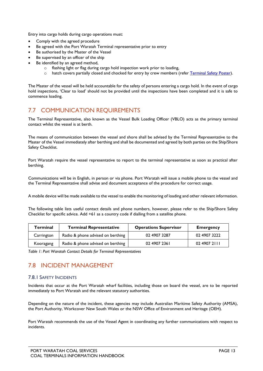Entry into cargo holds during cargo operations must:

- Comply with the agreed procedure
- Be agreed with the Port Waratah Terminal representative prior to entry
- Be authorised by the Master of the Vessel
- Be supervised by an officer of the ship
- Be identified by an agreed method,
	- o flashing light or flag during cargo hold inspection work prior to loading,
	- o hatch covers partially closed and chocked for entry by crew members (refer Terminal Safety Poster).

The Master of the vessel will be held accountable for the safety of persons entering a cargo hold. In the event of cargo hold inspections, 'Clear to load' should not be provided until the inspections have been completed and it is safe to commence loading.

## <span id="page-12-0"></span>7.7 COMMUNICATION REQUIREMENTS

The Terminal Representative, also known as the Vessel Bulk Loading Officer (VBLO) acts as the primary terminal contact whilst the vessel is at berth.

The means of communication between the vessel and shore shall be advised by the Terminal Representative to the Master of the Vessel immediately after berthing and shall be documented and agreed by both parties on the Ship/Shore Safety Checklist.

Port Waratah require the vessel representative to report to the terminal representative as soon as practical after berthing.

Communications will be in English, in person or via phone. Port Waratah will issue a mobile phone to the vessel and the Terminal Representative shall advise and document acceptance of the procedure for correct usage.

A mobile device will be made available to the vessel to enable the monitoring of loading and other relevant information.

The following table lists useful contact details and phone numbers, however, please refer to the Ship/Shore Safety Checklist for specific advice. Add +61 as a country code if dialling from a satellite phone.

| <b>Terminal</b> | <b>Terminal Representative</b>    | <b>Operations Supervisor</b> | <b>Emergency</b> |
|-----------------|-----------------------------------|------------------------------|------------------|
| Carrington      | Radio & phone advised on berthing | 02 4907 3287                 | 02 4907 3222     |
| Kooragang       | Radio & phone advised on berthing | 02 4907 2361                 | 02 4907 2111     |

<span id="page-12-1"></span>*Table 1: Port Waratah Contact Details for Terminal Representatives*

## 7.8 INCIDENT MANAGEMENT

#### <span id="page-12-2"></span>7.8.1 SAFETY INCIDENTS

Incidents that occur at the Port Waratah wharf facilities, including those on board the vessel, are to be reported immediately to Port Waratah and the relevant statutory authorities.

Depending on the nature of the incident, these agencies may include Australian Maritime Safety Authority (AMSA), the Port Authority, Workcover New South Wales or the NSW Office of Environment and Heritage (OEH).

Port Waratah recommends the use of the Vessel Agent in coordinating any further communications with respect to incidents.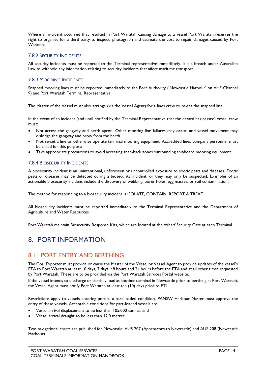Where an incident occurred that resulted in Port Waratah causing damage to a vessel Port Waratah reserves the right to organise for a third party to inspect, photograph and estimate the cost to repair damages caused by Port Waratah.

#### <span id="page-13-0"></span>7.8.2 SECURITY INCIDENTS

All security incidents must be reported to the Terminal representative immediately. It is a breach under Australian Law to withhold any information relating to security incidents that affect maritime transport.

#### <span id="page-13-1"></span>7.8.3 MOORING INCIDENTS

Snapped mooring lines must be reported immediately to the Port Authority ('Newcastle Harbour' on VHF Channel 9) and Port Waratah Terminal Representative.

The Master of the Vessel must also arrange (via the Vessel Agent) for a lines crew to re-set the snapped line.

In the event of an incident (and until notified by the Terminal Representative that the hazard has passed) vessel crew must:

- Not access the gangway and berth apron. Other mooring line failures may occur, and vessel movement may dislodge the gangway and brow from the berth
- Not re-set a line or otherwise operate terminal mooring equipment. Accredited lines company personnel must be called for this purpose
- Take appropriate precautions to avoid accessing snap-back zones surrounding shipboard mooring equipment.

#### <span id="page-13-2"></span>7.8.4 BIOSECURITY INCIDENTS

A biosecurity incident is an unintentional, unforeseen or uncontrolled exposure to exotic pests and diseases. Exotic pests or diseases may be detected during a biosecurity incident, or they may only be suspected. Examples of an actionable biosecurity incident include the discovery of webbing, borer holes, egg masses, or soil contamination.

The method for responding to a biosecurity incident is ISOLATE, CONTAIN, REPORT & TREAT.

All biosecurity incidents must be reported immediately to the Terminal Representative and the Department of Agriculture and Water Resources.

<span id="page-13-3"></span>Port Waratah maintain Biosecurity Response Kits, which are located at the Wharf Security Gate at each Terminal.

# 8. PORT INFORMATION

#### <span id="page-13-4"></span>8.1 PORT ENTRY AND BERTHING

The Coal Exporter must provide or cause the Master of the Vessel or Vessel Agent to provide updates of the vessel's ETA to Port Waratah at least 10 days, 7 days, 48 hours and 24 hours before the ETA and at all other times requested by Port Waratah. These are to be provided via the Port Waratah Services Portal website.

If the vessel intends to discharge or partially load at another terminal in Newcastle prior to berthing at Port Waratah, the Vessel Agent must notify Port Waratah at least ten (10) days prior to ETL.

Restrictions apply to vessels entering port in a part-loaded condition. PANSW Harbour Master must approve the entry of these vessels. Acceptable conditions for part-loaded vessels are:

- Vessel arrival displacement to be less than 105,000 tonnes, and
- Vessel arrival draught to be less than 12.0 metres.

Two navigational charts are published for Newcastle: AUS 207 (Approaches to Newcastle) and AUS 208 (Newcastle Harbour).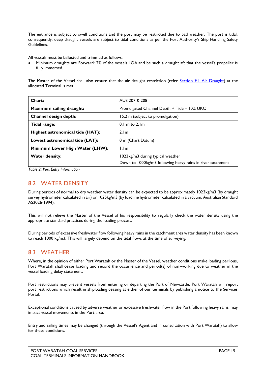The entrance is subject to swell conditions and the port may be restricted due to bad weather. The port is tidal; consequently, deep draught vessels are subject to tidal conditions as per the Port Authority's Ship Handling Safety Guidelines.

All vessels must be ballasted and trimmed as follows:

• Minimum draughts are Forward: 2% of the vessels LOA and be such a draught aft that the vessel's propeller is fully immersed.

The Master of the Vessel shall also ensure that the air draught restriction (refer [Section 9.1 Air Draught\)](#page-18-0) at the allocated Terminal is met.

| Chart:                                                                 | AUS 207 & 208                                              |  |
|------------------------------------------------------------------------|------------------------------------------------------------|--|
| Promulgated Channel Depth + Tide - 10% UKC<br>Maximum sailing draught: |                                                            |  |
| Channel design depth:<br>15.2 m (subject to promulgation)              |                                                            |  |
| Tidal range:                                                           | $0.1$ m to $2.1$ m                                         |  |
| Highest astronomical tide (HAT):                                       | 2.1 <sub>m</sub>                                           |  |
| Lowest astronomical tide (LAT):<br>0 m (Chart Datum)                   |                                                            |  |
| Minimum Lower High Water (LHW):                                        | 1.1 <sub>m</sub>                                           |  |
| <b>Water density:</b>                                                  | 1023kg/m3 during typical weather                           |  |
|                                                                        | Down to 1000kg/m3 following heavy rains in river catchment |  |

*Table 2: Port Entry Information*

## <span id="page-14-0"></span>8.2 WATER DENSITY

During periods of normal to dry weather water density can be expected to be approximately 1023kg/m3 (by draught survey hydrometer calculated in air) or 1025kg/m3 (by loadline hydrometer calculated in a vacuum, Australian Standard AS2026-1994).

This will not relieve the Master of the Vessel of his responsibility to regularly check the water density using the appropriate standard practices during the loading process.

During periods of excessive freshwater flow following heavy rains in the catchment area water density has been known to reach 1000 kg/m3. This will largely depend on the tidal flows at the time of surveying.

#### <span id="page-14-1"></span>8.3 WEATHER

Where, in the opinion of either Port Waratah or the Master of the Vessel, weather conditions make loading perilous, Port Waratah shall cease loading and record the occurrence and period(s) of non-working due to weather in the vessel loading delay statement.

Port restrictions may prevent vessels from entering or departing the Port of Newcastle. Port Waratah will report port restrictions which result in shiploading ceasing at either of our terminals by publishing a notice to the Services Portal.

Exceptional conditions caused by adverse weather or excessive freshwater flow in the Port following heavy rains, may impact vessel movements in the Port area.

Entry and sailing times may be changed (through the Vessel's Agent and in consultation with Port Waratah) to allow for these conditions.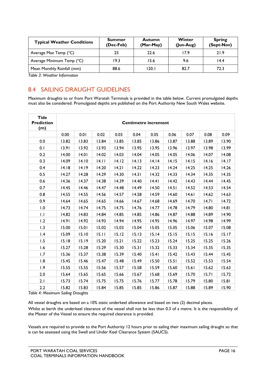| <b>Typical Weather Conditions</b> | <b>Summer</b><br>(Dec-Feb) | <b>Autumn</b><br>(Mar-May) | Winter<br>$(lun-Aug)$ | <b>Spring</b><br>(Sept-Nov) |
|-----------------------------------|----------------------------|----------------------------|-----------------------|-----------------------------|
| Average Max Temp (°C)             | 25                         | 22.6                       | 17.9                  | 21.9                        |
| Average Minimum Temp (°C)         | 19.3                       | 15.6                       | 9.6                   | 14.4                        |
| Mean Monthly Rainfall (mm)        | 88.6                       | l 20. l                    | 82.7                  | 72.3                        |

*Table 3: Weather Information*

## <span id="page-15-0"></span>8.4 SAILING DRAUGHT GUIDELINES

Maximum draughts to or from Port Waratah Terminals is provided in the table below. Current promulgated depths must also be considered. Promulgated depths are published on the Port Authority New South Wales website.

| <b>Tide</b><br><b>Prediction</b><br>(m) | <b>Centimetre increment</b> |       |       |       |       |       |       |       |       |       |
|-----------------------------------------|-----------------------------|-------|-------|-------|-------|-------|-------|-------|-------|-------|
|                                         | 0.00                        | 0.01  | 0.02  | 0.03  | 0.04  | 0.05  | 0.06  | 0.07  | 0.08  | 0.09  |
| 0.0                                     | 13.82                       | 13.83 | 13.84 | 13.85 | 13.85 | 13.86 | 13.87 | 13.88 | 13.89 | 13.90 |
| 0.1                                     | 13.91                       | 13.92 | 13.93 | 13.94 | 13.95 | 13.95 | 13.96 | 13.97 | 13.98 | 13.99 |
| 0.2                                     | 14.00                       | 14.01 | 14.02 | 14.03 | 14.04 | 14.05 | 14.05 | 14.06 | 14.07 | 14.08 |
| 0.3                                     | 14.09                       | 14.10 | 14.11 | 14.12 | 14.13 | 14.14 | 14.15 | 14.15 | 14.16 | 14.17 |
| 0.4                                     | 14.18                       | 14.19 | 14.20 | 14.21 | 14.22 | 14.23 | 14.24 | 14.25 | 14.25 | 14.26 |
| 0.5                                     | 14.27                       | 14.28 | 14.29 | 14.30 | 14.31 | 14.32 | 14.33 | 14.34 | 14.35 | 14.35 |
| 0.6                                     | 14.36                       | 14.37 | 14.38 | 14.39 | 14.40 | 14.41 | 14.42 | 14.43 | 14.44 | 14.45 |
| 0.7                                     | 14.45                       | 14.46 | 14.47 | 14.48 | 14.49 | 14.50 | 14.51 | 14.52 | 14.53 | 14.54 |
| 0.8                                     | 14.55                       | 14.55 | 14.56 | 14.57 | 14.58 | 14.59 | 14.60 | 14.61 | 14.62 | 14.63 |
| 0.9                                     | 14.64                       | 14.65 | 14.65 | 14.66 | 14.67 | 14.68 | 14.69 | 14.70 | 14.71 | 14.72 |
| 1.0                                     | 14.73                       | 14.74 | 14.75 | 14.75 | 14.76 | 14.77 | 14.78 | 14.79 | 14.80 | 14.81 |
| $  \cdot  $                             | 14.82                       | 14.83 | 14.84 | 14.85 | 14.85 | 14.86 | 14.87 | 14.88 | 14.89 | 14.90 |
| 1.2                                     | 14.91                       | 14.92 | 14.93 | 14.94 | 14.95 | 14.95 | 14.96 | 14.97 | 14.98 | 14.99 |
| 1.3                                     | 15.00                       | 15.01 | 15.02 | 15.03 | 15.04 | 15.05 | 15.05 | 15.06 | 15.07 | 15.08 |
| 1.4                                     | 15.09                       | 15.10 | 15.11 | 15.12 | 15.13 | 15.14 | 15.15 | 15.15 | 15.16 | 15.17 |
| 1.5                                     | 15.18                       | 15.19 | 15.20 | 15.21 | 15.22 | 15.23 | 15.24 | 15.25 | 15.25 | 15.26 |
| 1.6                                     | 15.27                       | 15.28 | 15.29 | 15.30 | 15.31 | 15.32 | 15.33 | 15.34 | 15.35 | 15.35 |
| 1.7                                     | 15.36                       | 15.37 | 15.38 | 15.39 | 15.40 | 15.41 | 15.42 | 15.43 | 15.44 | 15.45 |
| 1.8                                     | 15.45                       | 15.46 | 15.47 | 15.48 | 15.49 | 15.50 | 15.51 | 15.52 | 15.53 | 15.54 |
| 1.9                                     | 15.55                       | 15.55 | 15.56 | 15.57 | 15.58 | 15.59 | 15.60 | 15.61 | 15.62 | 15.63 |
| 2.0                                     | 15.64                       | 15.65 | 15.65 | 15.66 | 15.67 | 15.68 | 15.69 | 15.70 | 15.71 | 15.72 |
| 2.1                                     | 15.73                       | 15.74 | 15.75 | 15.75 | 15.76 | 15.77 | 15.78 | 15.79 | 15.80 | 15.81 |
| 2.2                                     | 15.82                       | 15.83 | 15.84 | 15.85 | 15.85 | 15.86 | 15.87 | 15.88 | 15.89 | 15.90 |

*Table 4: Maximum Sailing Draughts*

All vessel draughts are based on a 10% static underkeel allowance and based on two (2) decimal places.

Whilst at berth the underkeel clearance of the vessel shall not be less than 0.3 of a metre. It is the responsibility of the Master of the Vessel to ensure the required clearance is provided.

Vessels are required to provide to the Port Authority 12 hours prior to sailing their maximum sailing draught so that is can be assessed using the Swell and Under Keel Clearance System (SAUCS).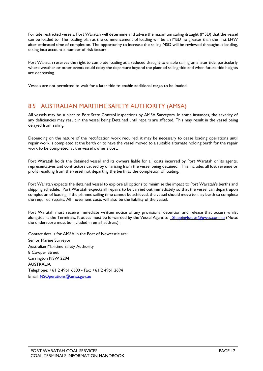For tide restricted vessels, Port Waratah will determine and advise the maximum sailing draught (MSD) that the vessel can be loaded to. The loading plan at the commencement of loading will be an MSD no greater than the first LHW after estimated time of completion. The opportunity to increase the sailing MSD will be reviewed throughout loading, taking into account a number of risk factors.

Port Waratah reserves the right to complete loading at a reduced draught to enable sailing on a later tide, particularly where weather or other events could delay the departure beyond the planned sailing tide and when future tide heights are decreasing.

Vessels are not permitted to wait for a later tide to enable additional cargo to be loaded.

## <span id="page-16-0"></span>8.5 AUSTRALIAN MARITIME SAFETY AUTHORITY (AMSA)

All vessels may be subject to Port State Control inspections by AMSA Surveyors. In some instances, the severity of any deficiencies may result in the vessel being Detained until repairs are affected. This may result in the vessel being delayed from sailing.

Depending on the nature of the rectification work required, it may be necessary to cease loading operations until repair work is completed at the berth or to have the vessel moved to a suitable alternate holding berth for the repair work to be completed, at the vessel owner's cost.

Port Waratah holds the detained vessel and its owners liable for all costs incurred by Port Waratah or its agents, representatives and contractors caused by or arising from the vessel being detained. This includes all lost revenue or profit resulting from the vessel not departing the berth at the completion of loading.

Port Waratah expects the detained vessel to explore all options to minimise the impact to Port Waratah's berths and shipping schedule. Port Waratah expects all repairs to be carried out immediately so that the vessel can depart upon completion of loading. If the planned sailing time cannot be achieved, the vessel should move to a lay berth to complete the required repairs. All movement costs will also be the liability of the vessel.

Port Waratah must receive immediate written notice of any provisional detention and release that occurs whilst alongside at the Terminals. Notices must be forwarded by the Vessel Agent to ShippingIssues@pwcs.com.au (Note: the underscore must be included in email address).

Contact details for AMSA in the Port of Newcastle are: Senior Marine Surveyor Australian Maritime Safety Authority 8 Cowper Street Carrington NSW 2294 AUSTRALIA Telephone: +61 2 4961 6300 - Fax**:** +61 2 4961 2694 Email: [NSOperations@amsa.gov.au](mailto:NSOperations@amsa.gov.au)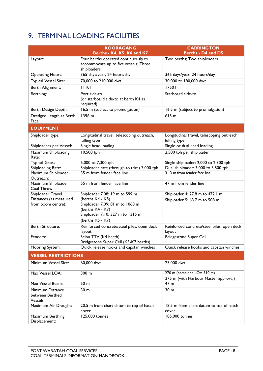# <span id="page-17-0"></span>9. TERMINAL LOADING FACILITIES

|                                                                   | <b>KOORAGANG</b>                                                                                                                                                  | <b>CARRINGTON</b>                                                   |
|-------------------------------------------------------------------|-------------------------------------------------------------------------------------------------------------------------------------------------------------------|---------------------------------------------------------------------|
|                                                                   | Berths - K4, K5, K6 and K7                                                                                                                                        | Berths - D4 and D5                                                  |
| Layout:                                                           | Four berths operated continuously to<br>accommodate up to five vessels; Three<br>shiploaders                                                                      | Two berths; Two shiploaders                                         |
| <b>Operating Hours:</b>                                           | 365 days/year, 24 hours/day                                                                                                                                       | 365 days/year, 24 hours/day                                         |
| Typical Vessel Size:                                              | 70,000 to 210,000 dwt                                                                                                                                             | 30,000 to 180,000 dwt                                               |
| Berth Alignment:                                                  | <b>III0T</b>                                                                                                                                                      | <b>1750T</b>                                                        |
| Berthing:                                                         | Port side-to<br>(or starboard side-to at berth K4 as<br>required)                                                                                                 | Starboard side-to                                                   |
| Berth Design Depth:                                               | 16.5 m (subject to promulgation)                                                                                                                                  | 16.5 m (subject to promulgation)                                    |
| Dredged Length at Berth<br>Face:                                  | 1396 m                                                                                                                                                            | 615m                                                                |
| <b>EQUIPMENT</b>                                                  |                                                                                                                                                                   |                                                                     |
| Shiploader type:                                                  | Longitudinal travel, telescoping outreach,<br>luffing type                                                                                                        | Longitudinal travel, telescoping outreach,<br>luffing type          |
| Shiploaders per Vessel:                                           | Single head loading                                                                                                                                               | Single or dual head loading                                         |
| Maximum Shiploading<br>Rate:                                      | 10,500 tph                                                                                                                                                        | 2,500 tph per shiploader                                            |
| <b>Typical Gross</b>                                              | 5,000 to 7,300 tph                                                                                                                                                | Single shiploader: 2,000 to 2,300 tph                               |
| Shiploading Rate:<br>Maximum Shiploader<br>Outreach:              | Shiploader rate (through to trim) 7,000 tph<br>35 m from fender face line                                                                                         | Dual shiploader: 3,000 to 3,500 tph<br>31.3 m from fender face line |
| Maximum Shiploader<br>Coal Throw:                                 | 55 m from fender face line                                                                                                                                        | 47 m from fender line                                               |
| Shiploader Travel<br>Distances (as measured<br>from boom centre): | Shiploader 7.08: 19 m to 599 m<br>(berths K4 - K5)<br>Shiploader 7.09: 81 m to 1068 m<br>(berths K4 - K7)<br>Shiploader 7.10: 327 m to 1315 m<br>(berths K5 - K7) | Shiploader 4: 27.8 m to 472.1 m<br>Shiploader 5: 63.7 m to 508 m    |
| <b>Berth Structure:</b>                                           | Reinforced concrete/steel piles, open deck<br>layout                                                                                                              | Reinforced concrete/steel piles, open deck<br>layout                |
| Fenders:                                                          | Seibu TTV (K4 berth)<br>Bridgestone Super Cell (K5-K7 berths)                                                                                                     | <b>Bridgestone Super Cell</b>                                       |
| Mooring System:                                                   | Quick release hooks and capstan winches                                                                                                                           | Quick release hooks and capstan winches                             |
| <b>VESSEL RESTRICTIONS</b>                                        |                                                                                                                                                                   |                                                                     |
| Minimum Vessel Size:                                              | 60,000 dwt                                                                                                                                                        | 25,000 dwt                                                          |
| Max Vessel LOA:                                                   | 300 m                                                                                                                                                             | 270 m (combined LOA 510 m)<br>275 m (with Harbour Master approval)  |
| Max Vessel Beam:                                                  | 50 m                                                                                                                                                              | 47 m                                                                |
| Minimum Distance<br>between Berthed<br>Vessels:                   | 30 <sub>m</sub><br>30 m                                                                                                                                           |                                                                     |
| Maximum Air Draught:                                              | 20.5 m from chart datum to top of hatch<br>cover                                                                                                                  | 18.5 m from chart datum to top of hatch<br>cover                    |
| Maximum Berthing<br>Displacement:                                 | 125,000 tonnes                                                                                                                                                    | 105,000 tonnes                                                      |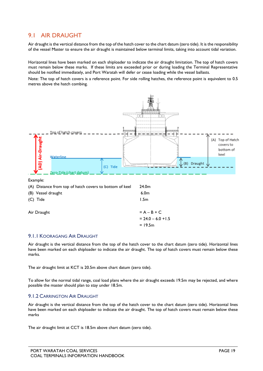#### <span id="page-18-0"></span>9.1 AIR DRAUGHT

Air draught is the vertical distance from the top of the hatch cover to the chart datum (zero tide). It is the responsibility of the vessel Master to ensure the air draught is maintained below terminal limits, taking into account tidal variation.

Horizontal lines have been marked on each shiploader to indicate the air draught limitation. The top of hatch covers must remain below these marks. If these limits are exceeded prior or during loading the Terminal Representative should be notified immediately, and Port Waratah will defer or cease loading while the vessel ballasts.

Note: The top of hatch covers is a reference point. For side rolling hatches, the reference point is equivalent to 0.5 metres above the hatch combing.



#### <span id="page-18-1"></span>9.1.1 KOORAGANG AIR DRAUGHT

Air draught is the vertical distance from the top of the hatch cover to the chart datum (zero tide). Horizontal lines have been marked on each shiploader to indicate the air draught. The top of hatch covers must remain below these marks.

The air draught limit at KCT is 20.5m above chart datum (zero tide).

To allow for the normal tidal range, coal load plans where the air draught exceeds 19.5m may be rejected, and where possible the master should plan to stay under 18.5m.

#### <span id="page-18-2"></span>9.1.2 CARRINGTON AIR DRAUGHT

Air draught is the vertical distance from the top of the hatch cover to the chart datum (zero tide). Horizontal lines have been marked on each shiploader to indicate the air draught. The top of hatch covers must remain below these marks

The air draught limit at CCT is 18.5m above chart datum (zero tide).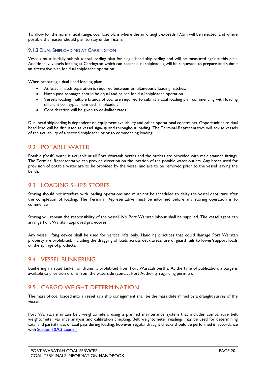To allow for the normal tidal range, coal load plans where the air draught exceeds 17.5m will be rejected, and where possible the master should plan to stay under 16.5m.

#### <span id="page-19-0"></span>9.1.3 DUAL SHIPLOADING AT CARRINGTON

Vessels must initially submit a coal loading plan for single head shiploading and will be measured against this plan. Additionally, vessels loading at Carrington which can accept dual shiploading will be requested to prepare and submit an alternative plan for dual shiploader operation.

When preparing a dual head loading plan:

- At least 1 hatch separation is required between simultaneously loading hatches.
- Hatch pass tonnages should be equal and paired for dual shiploader operation.
- Vessels loading multiple brands of coal are required to submit a coal loading plan commencing with loading different coal types from each shiploader.
- Consideration will be given to de-ballast rates.

Dual head shiploading is dependent on equipment availability and other operational constraints. Opportunities to dual head load will be discussed at vessel sign-up and throughout loading. The Terminal Representative will advise vessels of the availability of a second shiploader prior to commencing loading.

#### <span id="page-19-1"></span>9.2 POTABLE WATER

Potable (fresh) water is available at all Port Waratah berths and the outlets are provided with male staunch fittings. The Terminal Representative can provide direction on the location of the potable water outlets. Any hoses used for provision of potable water are to be provided by the vessel and are to be removed prior to the vessel leaving the berth.

#### <span id="page-19-2"></span>9.3 LOADING SHIP'S STORES

Storing should not interfere with loading operations and must not be scheduled to delay the vessel departure after the completion of loading. The Terminal Representative must be informed before any storing operation is to commence.

Storing will remain the responsibility of the vessel. No Port Waratah labour shall be supplied. The vessel agent can arrange Port Waratah approved providores.

Any vessel lifting device shall be used for vertical lifts only. Handling practices that could damage Port Waratah property are prohibited, including the dragging of loads across deck areas, use of guard rails to lower/support loads or the spillage of products.

#### <span id="page-19-3"></span>9.4 VESSEL BUNKERING

Bunkering via road tanker or drums is prohibited from Port Waratah berths. At the time of publication, a barge is available to provision drums from the waterside (contact Port Authority regarding permits).

## <span id="page-19-4"></span>9.5 CARGO WEIGHT DETERMINATION

The mass of coal loaded into a vessel as a ship consignment shall be the mass determined by a draught survey of the vessel.

Port Waratah maintain belt weightometers using a planned maintenance system that includes comparative belt weightometer variance analysis and calibration checking. Belt weightometer readings may be used for determining total and partial mass of coal pass during loading, however regular draught checks should be performed in accordance with [Section 10.9.3 Loading.](#page-26-0)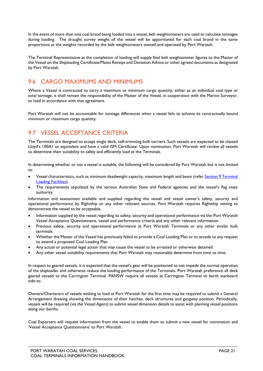In the event of more than one coal brand being loaded into a vessel, belt weightometers are used to calculate tonnages during loading. The draught survey weight of the vessel will be apportioned for each coal brand in the same proportions as the weights recorded by the belt weightometers owned and operated by Port Waratah.

The Terminal Representative at the completion of loading will supply final belt weightometer figures to the Master of the Vessel on the Shiploading Certificate/Mates Receipt and Deviation Advice or other agreed documents as designated by Port Waratah.

## <span id="page-20-0"></span>9.6 CARGO MAXIMUMS AND MINIMUMS

Where a Vessel is contracted to carry a maximum or minimum cargo quantity, either as an individual coal type or total tonnage, it shall remain the responsibility of the Master of the Vessel, in cooperation with the Marine Surveyor, to load in accordance with that agreement.

Port Waratah will not be accountable for tonnage differences when a vessel fails to achieve its contractually bound minimum or maximum cargo quantity.

## <span id="page-20-1"></span>9.7 VESSEL ACCEPTANCE CRITERIA

The Terminals are designed to accept single deck, self-trimming bulk carriers. Such vessels are expected to be classed Lloyd's 100A1 or equivalent and have a valid ISM Certificate. Upon nomination, Port Waratah will review all vessels to determine their suitability to safely and efficiently load at the Terminals.

In determining whether or not a vessel is suitable, the following will be considered by Port Waratah but is not limited to:

- Vessel characteristics, such as minimum deadweight capacity, maximum length and beam (refer [Section 9 Terminal](#page-17-0)  [Loading Facilities\)](#page-17-0).
- The requirements stipulated by the various Australian State and Federal agencies and the vessel's flag state authority.

Information and assessment available and supplied regarding the vessel and vessel owner's safety, security and operational performance by Rightship or any other relevant sources. Port Waratah requires Rightship vetting to demonstrate the vessel to be acceptable.

- Information supplied by the vessel regarding its safety, security and operational performance via the Port Waratah Vessel Acceptance Questionnaire, vessel and performance criteria and any other relevant information
- Previous safety, security and operational performance at Port Waratah Terminals or any other similar bulk terminals
- Whether the Master of the Vessel has previously failed to provide a Coal Loading Plan or to accede to any request to amend a proposed Coal Loading Plan
- Any actual or potential legal action that may cause the vessel to be arrested or otherwise detained
- Any other vessel suitability requirements that Port Waratah may reasonably determine from time to time.

In respect to geared vessels, it is expected that the vessel's gear will be positioned to not impede the normal operation of the shiploader and otherwise reduce the loading performance of the Terminals. Port Waratah preference all deck geared vessels to the Carrington Terminal. PANSW require all vessels at Carrington Terminal to berth starboard side-to.

Owners/Charterers of vessels wishing to load at Port Waratah for the first time may be required to submit a General Arrangement drawing showing the dimensions of their hatches, deck structures and gangway position. Periodically, vessels will be required (via the Vessel Agent) to submit vessel dimension details to assist with planning vessel positions along our berths.

Coal Exporters will request information from the vessel to enable them to submit a new vessel for nomination and 'Vessel Acceptance Questionnaire' to Port Waratah.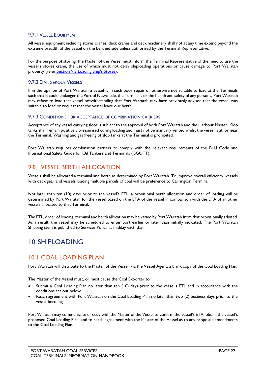#### <span id="page-21-0"></span>9.7.1 VESSEL EQUIPMENT

All vessel equipment including stores cranes, deck cranes and deck machinery shall not at any time extend beyond the extreme breadth of the vessel on the berthed side unless authorised by the Terminal Representative.

For the purpose of storing, the Master of the Vessel must inform the Terminal Representative of the need to use the vessel's stores crane, the use of which must not delay shiploading operations or cause damage to Port Waratah property (refer [Section 9.3 Loading Ship's Stores\)](#page-19-2).

#### <span id="page-21-1"></span>9.7.2 DANGEROUS VESSELS

If in the opinion of Port Waratah a vessel is in such poor repair or otherwise not suitable to load at the Terminals such that it could endanger the Port of Newcastle, the Terminals or the health and safety of any persons, Port Waratah may refuse to load that vessel notwithstanding that Port Waratah may have previously advised that the vessel was suitable to load or request that the vessel leave our berth.

#### <span id="page-21-2"></span>9.7.3 CONDITIONS FOR ACCEPTANCE OF COMBINATION CARRIERS

Acceptance of any vessel carrying slops is subject to the approval of both Port Waratah and the Harbour Master. Slop tanks shall remain positively pressurised during loading and must not be manually vented whilst the vessel is at, or near the Terminal. Washing and gas freeing of slop tanks at the Terminal is prohibited.

Port Waratah requires combination carriers to comply with the relevant requirements of the BLU Code and International Safety Guide for Oil Tankers and Terminals (ISGOTT).

#### <span id="page-21-3"></span>9.8 VESSEL BERTH ALLOCATION

Vessels shall be allocated a terminal and berth as determined by Port Waratah. To improve overall efficiency, vessels with deck gear and vessels loading multiple parcels of coal will be preference to Carrington Terminal.

Not later than ten (10) days prior to the vessel's ETL, a provisional berth allocation and order of loading will be determined by Port Waratah for the vessel based on the ETA of the vessel in comparison with the ETA of all other vessels allocated to that Terminal.

The ETL, order of loading, terminal and berth allocation may be varied by Port Waratah from that provisionally advised. As a result, the vessel may be scheduled to enter port earlier or later than initially indicated. The Port Waratah Shipping stem is published to Services Portal at midday each day.

## <span id="page-21-4"></span>10. SHIPLOADING

#### <span id="page-21-5"></span>10.1 COAL LOADING PLAN

Port Waratah will distribute to the Master of the Vessel, via the Vessel Agent, a blank copy of the Coal Loading Plan.

The Master of the Vessel must, or must cause the Coal Exporter to:

- Submit a Coal Loading Plan no later than ten (10) days prior to the vessel's ETL and in accordance with the conditions set out below
- Reach agreement with Port Waratah on the Coal Loading Plan no later than two (2) business days prior to the vessel berthing

Port Waratah may communicate directly with the Master of the Vessel to confirm the vessel's ETA, obtain the vessel's proposed Coal Loading Plan, and to reach agreement with the Master of the Vessel as to any proposed amendments to the Coal Loading Plan.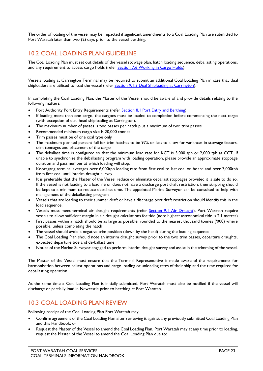The order of loading of the vessel may be impacted if significant amendments to a Coal Loading Plan are submitted to Port Waratah later than two (2) days prior to the vessel berthing.

## <span id="page-22-0"></span>10.2 COAL LOADING PLAN GUIDELINE

The Coal Loading Plan must set out details of the vessel stowage plan, hatch loading sequence, deballasting operations, and any requirement to access cargo holds (refer Section 7.6 [Working in Cargo Holds\)](#page-11-2).

Vessels loading at Carrington Terminal may be required to submit an additional Coal Loading Plan in case that dual shiploaders are utilised to load the vessel ([refer Section 9.1.3 Dual Shiploading at Carrington\).](#page-19-0)

In completing the Coal Loading Plan, the Master of the Vessel should be aware of and provide details relating to the following matters:

- Port Authority Port Entry Requirements (refer [Section 8.1 Port Entry and Berthing\)](#page-13-4)
- If loading more than one cargo, the cargoes must be loaded to completion before commencing the next cargo (with exception of dual head shiploading at Carrington).
- The maximum number of passes is two passes per hatch plus a maximum of two trim passes.
- Recommended minimum cargo size is 20,000 tonnes
- Trim passes must be of one coal type only
- The maximum planned percent full for trim hatches to be 97% or less to allow for variances in stowage factors, trim tonnages and placement of the cargo
- The deballast time is configured so that the minimum load rate for KCT is 5,000 tph or 2,000 tph at CCT. If unable to synchronise the deballasting program with loading operation, please provide an approximate stoppage duration and pass number at which loading will stop.
- Kooragang terminal averages over 6,000tph loading rate from first coal to last coal on board and over 7,000tph from first coal until interim draught survey.
- It is preferable that the Master of the Vessel reduce or eliminate deballast stoppages provided it is safe to do so. If the vessel is not loading to a loadline or does not have a discharge port draft restriction, then stripping should be kept to a minimum to reduce deballast time. The appointed Marine Surveyor can be consulted to help with management of the deballasting program
- Vessels that are loading to their summer draft or have a discharge port draft restriction should identify this in the load sequence.
- Vessels must meet terminal air draught requirements (refer [Section 9.1 Air Draught\)](#page-18-0). Port Waratah require vessels to allow sufficient margin in air draught calculations for tide (note highest astronomical tide is 2.1 metres)
- First passes within a hatch should be as large as possible, rounded to the nearest thousand tonnes ('000) where possible, unless completing the hatch
- The vessel should avoid a negative trim position (down by the head) during the loading sequence
- The Coal Loading Plan should note an interim draught survey prior to the two trim passes, departure draughts, expected departure tide and de-ballast time
- Notice of the Marine Surveyor engaged to perform interim draught survey and assist in the trimming of the vessel.

The Master of the Vessel must ensure that the Terminal Representative is made aware of the requirements for harmonisation between ballast operations and cargo loading or unloading rates of their ship and the time required for deballasting operation.

At the same time a Coal Loading Plan is initially submitted, Port Waratah must also be notified if the vessel will discharge or partially load in Newcastle prior to berthing at Port Waratah.

#### <span id="page-22-1"></span>10.3 COAL LOADING PLAN REVIEW

Following receipt of the Coal Loading Plan Port Waratah may:

- Confirm agreement of the Coal Loading Plan after reviewing it against any previously submitted Coal Loading Plan and this Handbook; or
- Request the Master of the Vessel to amend the Coal Loading Plan. Port Waratah may at any time prior to loading, request the Master of the Vessel to amend the Coal Loading Plan due to: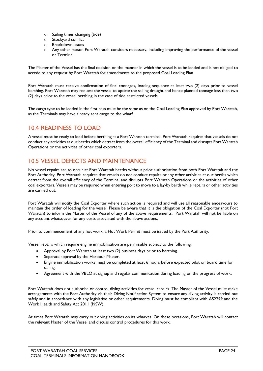- o Sailing times changing (tide)
- o Stockyard conflict
- o Breakdown issues
- o Any other reason Port Waratah considers necessary, including improving the performance of the vessel or Terminal.

The Master of the Vessel has the final decision on the manner in which the vessel is to be loaded and is not obliged to accede to any request by Port Waratah for amendments to the proposed Coal Loading Plan.

Port Waratah must receive confirmation of final tonnages, loading sequence at least two (2) days prior to vessel berthing. Port Waratah may request the vessel to update the sailing draught and hence planned tonnage less than two (2) days prior to the vessel berthing in the case of tide restricted vessels.

The cargo type to be loaded in the first pass must be the same as on the Coal Loading Plan approved by Port Waratah, as the Terminals may have already sent cargo to the wharf.

## <span id="page-23-0"></span>10.4 READINESS TO LOAD

A vessel must be ready to load before berthing at a Port Waratah terminal. Port Waratah requires that vessels do not conduct any activities at our berths which detract from the overall efficiency of the Terminal and disrupts Port Waratah Operations or the activities of other coal exporters.

## <span id="page-23-1"></span>10.5 VESSEL DEFECTS AND MAINTENANCE

No vessel repairs are to occur at Port Waratah berths without prior authorisation from both Port Waratah and the Port Authority. Port Waratah requires that vessels do not conduct repairs or any other activities at our berths which detract from the overall efficiency of the Terminal and disrupts Port Waratah Operations or the activities of other coal exporters. Vessels may be required when entering port to move to a lay-by berth while repairs or other activities are carried out.

Port Waratah will notify the Coal Exporter where such action is required and will use all reasonable endeavours to maintain the order of loading for the vessel. Please be aware that it is the obligation of the Coal Exporter (not Port Waratah) to inform the Master of the Vessel of any of the above requirements. Port Waratah will not be liable on any account whatsoever for any costs associated with the above actions.

Prior to commencement of any hot work, a Hot Work Permit must be issued by the Port Authority.

Vessel repairs which require engine immobilisation are permissible subject to the following:

- Approval by Port Waratah at least two (2) business days prior to berthing.
- Separate approval by the Harbour Master.
- Engine immobilisation works must be completed at least 6 hours before expected pilot on board time for sailing.
- Agreement with the VBLO at signup and regular communication during loading on the progress of work.

Port Waratah does not authorise or control diving activities for vessel repairs. The Master of the Vessel must make arrangements with the Port Authority via their Diving Notification System to ensure any diving activity is carried out safely and in accordance with any legislative or other requirements. Diving must be compliant with AS2299 and the Work Health and Safety Act 2011 (NSW).

At times Port Waratah may carry out diving activities on its wharves. On these occasions, Port Waratah will contact the relevant Master of the Vessel and discuss control procedures for this work.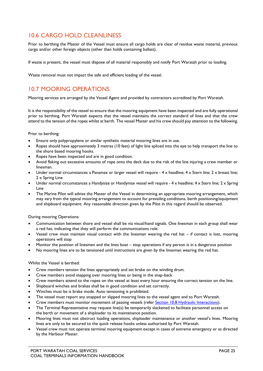## <span id="page-24-0"></span>10.6 CARGO HOLD CLEANLINESS

Prior to berthing the Master of the Vessel must ensure all cargo holds are clear of residue waste material, previous cargo and/or other foreign objects (other than holds containing ballast).

If waste is present, the vessel must dispose of all material responsibly and notify Port Waratah prior to loading.

<span id="page-24-1"></span>Waste removal must not impact the safe and efficient loading of the vessel.

## 10.7 MOORING OPERATIONS

Mooring services are arranged by the Vessel Agent and provided by contractors accredited by Port Waratah.

It is the responsibility of the vessel to ensure that the mooring equipment have been inspected and are fully operational prior to berthing. Port Waratah expects that the vessel maintains the correct standard of lines and that the crew attend to the tension of the ropes whilst at berth. The vessel Master and his crew should pay attention to the following.

Prior to berthing:

- Ensure only polypropylene or similar synthetic material mooring lines are in use.
- Ropes should have approximately 3 metres (10 feet) of light line spliced into the eye to help transport the line to the shore based mooring hooks.
- Ropes have been inspected and are in good condition.
- Avoid flaking out excessive amounts of rope onto the deck due to the risk of the line injuring a crew member or linesman.
- Under normal circumstances a Panamax or larger vessel will require 4 x headline; 4 x Stern line; 2 x breast line; 2 x Spring Line
- Under normal circumstances a Handysize or Handymax vessel will require 4 x headline; 4 x Stern line; 2 x Spring Line
- The Marine Pilot will advise the Master of the Vessel in determining an appropriate mooring arrangement, which may vary from the typical mooring arrangement to account for prevailing conditions, berth positioning/equipment and shipboard equipment. Any reasonable direction given by the Pilot in this regard should be observed.

#### During mooring Operations:

- Communication between shore and vessel shall be via visual/hand signals. One linesman in each group shall wear a red hat, indicating that they will perform the communications role.
- Vessel crew must maintain visual contact with the linesman wearing the red hat if contact is lost, mooring operations will stop
- Monitor the position of linesmen and the lines boat stop operations if any person is in a dangerous position
- No mooring lines are to be tensioned until instructions are given by the linesman wearing the red hat.

#### Whilst the Vessel is berthed:

- Crew members tension the lines appropriately and set brake on the winding drum.
- Crew members avoid stepping over mooring lines or being in the snap-back
- Crew members attend to the ropes on the vessel at least every hour ensuring the correct tension on the line.
- Shipboard winches and brakes shall be in good condition and set correctly.
- Winches must be is brake mode. Auto tensioning is prohibited.
- The vessel must report any snapped or slipped mooring lines to the vessel agent and to Port Waratah.
- Crew members must monitor movement of passing vessels (refer Section 10.8 [Hydraulic Interactions\).](#page-25-0)
- The Terminal Representative may request line(s) be temporarily slackened to facilitate personnel access on the berth or movement of a shiploader to its maintenance position.
- Mooring lines must not obstruct loading operations, shiploader maintenance or another vessel's lines. Mooring lines are only to be secured to the quick release hooks unless authorised by Port Waratah.
- Vessel crew must not operate terminal mooring equipment except in cases of extreme emergency or as directed by the Harbour Master.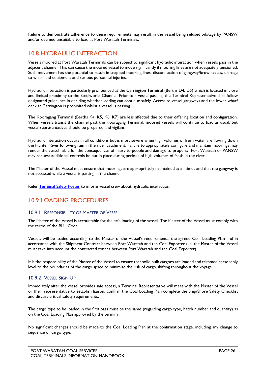Failure to demonstrate adherence to these requirements may result in the vessel being refused pilotage by PANSW and/or deemed unsuitable to load at Port Waratah Terminals.

## <span id="page-25-0"></span>10.8 HYDRAULIC INTERACTION

Vessels moored at Port Waratah Terminals can be subject to significant hydraulic interaction when vessels pass in the adjacent channel. This can cause the moored vessel to move significantly if mooring lines are not adequately tensioned. Such movement has the potential to result in snapped mooring lines, disconnection of gangway/brow access, damage to wharf and equipment and serious personnel injuries.

Hydraulic interaction is particularly pronounced at the Carrington Terminal (Berths D4, D5) which is located in close and limited proximity to the Steelworks Channel. Prior to a vessel passing, the Terminal Representative shall follow designated guidelines in deciding whether loading can continue safely. Access to vessel gangways and the lower wharf deck at Carrington is prohibited whilst a vessel is passing.

The Kooragang Terminal (Berths K4, K5, K6, K7) are less affected due to their differing location and configuration. When vessels transit the channel past the Kooragang Terminal, moored vessels will continue to load as usual, but vessel representatives should be prepared and vigilant.

Hydraulic interaction occurs in all conditions but is most severe when high volumes of fresh water are flowing down the Hunter River following rain in the river catchment. Failure to appropriately configure and maintain moorings may render the vessel liable for the consequences of injury to people and damage to property. Port Waratah or PANSW may request additional controls be put in place during periods of high volumes of fresh in the river.

The Master of the Vessel must ensure that moorings are appropriately maintained at all times and that the gangway is not accessed while a vessel is passing in the channel.

<span id="page-25-1"></span>Refer Terminal Safety Poster to inform vessel crew about hydraulic interaction.

## 10.9 LOADING PROCEDURES

#### <span id="page-25-2"></span>10.9.1 RESPONSIBILITY OF MASTER OF VESSEL

The Master of the Vessel is accountable for the safe loading of the vessel. The Master of the Vessel must comply with the terms of the BLU Code.

Vessels will be loaded according to the Master of the Vessel's requirements, the agreed Coal Loading Plan and in accordance with the Shipment Contract between Port Waratah and the Coal Exporter (i.e. the Master of the Vessel must take into account the contracted tonnes between Port Waratah and the Coal Exporter).

It is the responsibility of the Master of the Vessel to ensure that solid bulk cargoes are loaded and trimmed reasonably level to the boundaries of the cargo space to minimise the risk of cargo shifting throughout the voyage.

#### <span id="page-25-3"></span>10.9.2 VESSEL SIGN UP

Immediately after the vessel provides safe access, a Terminal Representative will meet with the Master of the Vessel or their representative to establish liaison, confirm the Coal Loading Plan complete the Ship/Shore Safety Checklist and discuss critical safety requirements.

The cargo type to be loaded in the first pass must be the same (regarding cargo type, hatch number and quantity) as on the Coal Loading Plan approved by the terminal.

No significant changes should be made to the Coal Loading Plan at the confirmation stage, including any change to sequence or cargo type.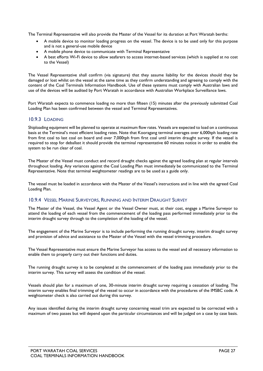The Terminal Representative will also provide the Master of the Vessel for its duration at Port Waratah berths:

- A mobile device to monitor loading progress on the vessel. The device is to be used only for this purpose and is not a general-use mobile device
- A mobile phone device to communicate with Terminal Representative
- A best efforts Wi-Fi device to allow seafarers to access internet-based services (which is supplied at no cost to the Vessel)

The Vessel Representative shall confirm (via signature) that they assume liability for the devices should they be damaged or lost whilst on the vessel at the same time as they confirm understanding and agreeing to comply with the content of the Coal Terminals Information Handbook. Use of these systems must comply with Australian laws and use of the devices will be audited by Port Waratah in accordance with Australian Workplace Surveillance laws.

Port Waratah expects to commence loading no more than fifteen (15) minutes after the previously submitted Coal Loading Plan has been confirmed between the vessel and Terminal Representatives.

#### <span id="page-26-0"></span>10.9.3 LOADING

Shiploading equipment will be planned to operate at maximum flow rates. Vessels are expected to load on a continuous basis at the Terminal's most efficient loading rates. Note that Kooragang terminal averages over 6,000tph loading rate from first coal to last coal on board and over 7,000tph from first coal until interim draught survey. If the vessel is required to stop for deballast it should provide the terminal representative 60 minutes notice in order to enable the system to be run clear of coal.

The Master of the Vessel must conduct and record draught checks against the agreed loading plan at regular intervals throughout loading. Any variances against the Coal Loading Plan must immediately be communicated to the Terminal Representative. Note that terminal weightometer readings are to be used as a guide only.

The vessel must be loaded in accordance with the Master of the Vessel's instructions and in line with the agreed Coal Loading Plan.

#### <span id="page-26-1"></span>10.9.4 VESSEL MARINE SURVEYORS, RUNNING AND INTERIM DRAUGHT SURVEY

The Master of the Vessel, the Vessel Agent or the Vessel Owner must, at their cost, engage a Marine Surveyor to attend the loading of each vessel from the commencement of the loading pass performed immediately prior to the interim draught survey through to the completion of the loading of the vessel.

The engagement of the Marine Surveyor is to include performing the running draught survey, interim draught survey and provision of advice and assistance to the Master of the Vessel with the vessel trimming procedure.

The Vessel Representative must ensure the Marine Surveyor has access to the vessel and all necessary information to enable them to properly carry out their functions and duties.

The running draught survey is to be completed at the commencement of the loading pass immediately prior to the interim survey. This survey will assess the condition of the vessel.

Vessels should plan for a maximum of one, 30-minute interim draught survey requiring a cessation of loading. The interim survey enables final trimming of the vessel to occur in accordance with the procedures of the IMSBC code. A weightometer check is also carried out during this survey.

Any issues identified during the interim draught survey concerning vessel trim are expected to be corrected with a maximum of two passes but will depend upon the particular circumstances and will be judged on a case by case basis.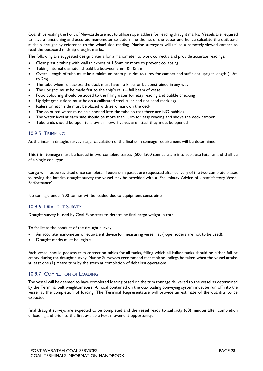Coal ships visiting the Port of Newcastle are not to utilise rope ladders for reading draught marks. Vessels are required to have a functioning and accurate manometer to determine the list of the vessel and hence calculate the outboard midship draught by reference to the wharf side reading. Marine surveyors will utilise a remotely viewed camera to read the outboard midship draught marks.

The following are suggested design criteria for a manometer to work correctly and provide accurate readings:

- Clear plastic tubing with wall thickness of 1.5mm or more to prevent collapsing
- Tubing internal diameter should be between 5mm & 10mm
- Overall length of tube must be a minimum beam plus 4m to allow for camber and sufficient upright length (1.5m to 2m)
- The tube when run across the deck must have no kinks or be constrained in any way
- The uprights must be made fast to the ship's rails full beam of vessel
- Food colouring should be added to the filling water for easy reading and bubble checking
- Upright graduations must be on a calibrated steel ruler and not hand markings
- Rulers on each side must be placed with zero mark on the deck
- The coloured water must be siphoned into the tube so that there are NO bubbles
- The water level at each side should be more than 1.2m for easy reading and above the deck camber
- Tube ends should be open to allow air flow. If valves are fitted, they must be opened

#### <span id="page-27-0"></span>10.9.5 TRIMMING

At the interim draught survey stage, calculation of the final trim tonnage requirement will be determined.

This trim tonnage must be loaded in two complete passes (500-1500 tonnes each) into separate hatches and shall be of a single coal type.

Cargo will not be revisited once complete. If extra trim passes are requested after delivery of the two complete passes following the interim draught survey the vessel may be provided with a 'Preliminary Advice of Unsatisfactory Vessel Performance'.

No tonnage under 200 tonnes will be loaded due to equipment constraints.

#### <span id="page-27-1"></span>10.9.6 DRAUGHT SURVEY

Draught survey is used by Coal Exporters to determine final cargo weight in total.

To facilitate the conduct of the draught survey:

- An accurate manometer or equivalent device for measuring vessel list (rope ladders are not to be used).
- Draught marks must be legible.

Each vessel should possess trim correction tables for all tanks, failing which all ballast tanks should be either full or empty during the draught survey. Marine Surveyors recommend that tank soundings be taken when the vessel attains at least one (1) metre trim by the stern at completion of deballast operations.

#### <span id="page-27-2"></span>10.9.7 COMPLETION OF LOADING

The vessel will be deemed to have completed loading based on the trim tonnage delivered to the vessel as determined by the Terminal belt weightometers. All coal contained on the out-loading conveying system must be run off into the vessel at the completion of loading. The Terminal Representative will provide an estimate of the quantity to be expected.

Final draught surveys are expected to be completed and the vessel ready to sail sixty (60) minutes after completion of loading and prior to the first available Port movement opportunity.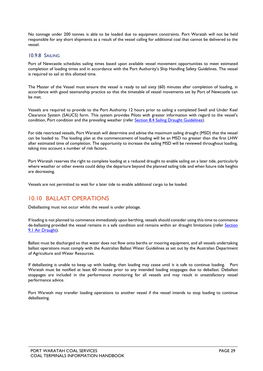No tonnage under 200 tonnes is able to be loaded due to equipment constraints. Port Waratah will not be held responsible for any short shipments as a result of the vessel calling for additional coal that cannot be delivered to the vessel.

#### <span id="page-28-0"></span>10.9.8 SAILING

Port of Newcastle schedules sailing times based upon available vessel movement opportunities to meet estimated completion of loading times and in accordance with the Port Authority's Ship Handling Safety Guidelines. The vessel is required to sail at this allotted time.

The Master of the Vessel must ensure the vessel is ready to sail sixty (60) minutes after completion of loading, in accordance with good seamanship practice so that the timetable of vessel movements set by Port of Newcastle can be met.

Vessels are required to provide to the Port Authority 12 hours prior to sailing a completed Swell and Under Keel Clearance System (SAUCS) form. This system provides Pilots with greater information with regard to the vessel's condition, Port condition and the prevailing weather (refer [Section 8.4 Sailing Draught Guidelines\)](#page-15-0).

For tide restricted vessels, Port Waratah will determine and advise the maximum sailing draught (MSD) that the vessel can be loaded to. The loading plan at the commencement of loading will be an MSD no greater than the first LHW after estimated time of completion. The opportunity to increase the sailing MSD will be reviewed throughout loading, taking into account a number of risk factors.

Port Waratah reserves the right to complete loading at a reduced draught to enable sailing on a later tide, particularly where weather or other events could delay the departure beyond the planned sailing tide and when future tide heights are decreasing.

Vessels are not permitted to wait for a later tide to enable additional cargo to be loaded.

## <span id="page-28-1"></span>10.10 BALLAST OPERATIONS

Deballasting must not occur whilst the vessel is under pilotage.

If loading is not planned to commence immediately upon berthing, vessels should consider using this time to commence de-ballasting provided the vessel remains in a safe condition and remains within air draught limitations (refer Section [9.1 Air Draught\)](#page-18-0).

Ballast must be discharged so that water does not flow onto berths or mooring equipment, and all vessels undertaking ballast operations must comply with the Australian Ballast Water Guidelines as set out by the Australian Department of Agriculture and Water Resources.

If deballasting is unable to keep up with loading, then loading may cease until it is safe to continue loading. Port Waratah must be notified at least 60 minutes prior to any intended loading stoppages due to deballast. Deballast stoppages are included in the performance monitoring for all vessels and may result in unsatisfactory vessel performance advice.

<span id="page-28-2"></span>Port Waratah may transfer loading operations to another vessel if the vessel intends to stop loading to continue deballasting.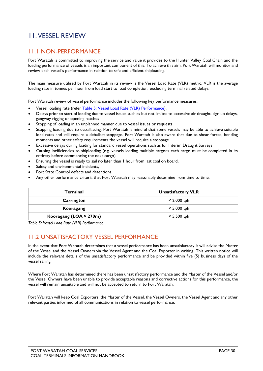# <span id="page-29-0"></span>11.VESSEL REVIEW

## <span id="page-29-1"></span>11.1 NON-PERFORMANCE

Port Waratah is committed to improving the service and value it provides to the Hunter Valley Coal Chain and the loading performance of vessels is an important component of this. To achieve this aim, Port Waratah will monitor and review each vessel's performance in relation to safe and efficient shiploading.

The main measure utilised by Port Waratah in its review is the Vessel Load Rate (VLR) metric. VLR is the average loading rate in tonnes per hour from load start to load completion, excluding terminal related delays.

Port Waratah review of vessel performance includes the following key performance measures:

- Vessel loading rate (refer [Table 5: Vessel Load Rate \(VLR\) Performance\)](#page-29-3).
- Delays prior to start of loading due to vessel issues such as but not limited to excessive air draught, sign up delays, gangway rigging or opening hatches
- Stopping of loading in an unplanned manner due to vessel issues or requests
- Stopping loading due to deballasting. Port Waratah is mindful that some vessels may be able to achieve suitable load rates and still require a deballast stoppage. Port Waratah is also aware that due to shear forces, bending moments and other safety requirements the vessel will require a stoppage
- Excessive delays during loading for standard vessel operations such as for Interim Draught Surveys
- Causing inefficiencies to shiploading (e.g. vessels loading multiple cargoes each cargo must be completed in its entirety before commencing the next cargo)
- Ensuring the vessel is ready to sail no later than 1 hour from last coal on board.
- Safety and environmental incidents,
- Port State Control defects and detentions,
- Any other performance criteria that Port Waratah may reasonably determine from time to time.

| <b>Terminal</b>        | <b>Unsatisfactory VLR</b> |
|------------------------|---------------------------|
| Carrington             | $< 2,000$ tph             |
| Kooragang              | $< 5,000$ tph             |
| Kooragang (LOA > 270m) | $< 5,500$ tph             |

<span id="page-29-3"></span>*Table 5: Vessel Load Rate (VLR) Performance*

## <span id="page-29-2"></span>11.2 UNSATISFACTORY VESSEL PERFORMANCE

In the event that Port Waratah determines that a vessel performance has been unsatisfactory it will advise the Master of the Vessel and the Vessel Owners via the Vessel Agent and the Coal Exporter in writing. This written notice will include the relevant details of the unsatisfactory performance and be provided within five (5) business days of the vessel sailing.

Where Port Waratah has determined there has been unsatisfactory performance and the Master of the Vessel and/or the Vessel Owners have been unable to provide acceptable reasons and corrective actions for this performance, the vessel will remain unsuitable and will not be accepted to return to Port Waratah.

Port Waratah will keep Coal Exporters, the Master of the Vessel, the Vessel Owners, the Vessel Agent and any other relevant parties informed of all communications in relation to vessel performance.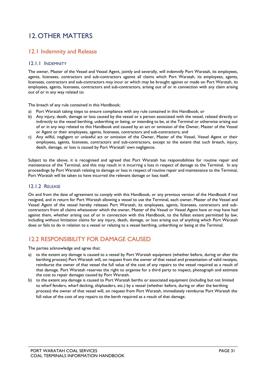# <span id="page-30-0"></span>12.OTHER MATTERS

## <span id="page-30-1"></span>12.1 Indemnity and Release

#### <span id="page-30-2"></span>12.1.1 INDEMNITY

The owner, Master of the Vessel and Vessel Agent, jointly and severally, will indemnify Port Waratah, its employees, agents, licensees, contractors and sub-contractors against all claims which Port Waratah, its employees, agents, licensees, contractors and sub-contractors may incur or which may be brought against or made on Port Waratah, its employees, agents, licensees, contractors and sub-contractors, arising out of or in connection with any claim arising out of or in any way related to:

The breach of any rule contained in this Handbook;

- a) Port Waratah taking steps to ensure compliance with any rule contained in this Handbook; or
- b) Any injury, death, damage or loss caused by the vessel or a person associated with the vessel, related directly or indirectly to the vessel berthing, unberthing or being, or intending to be, at the Terminal or otherwise arising out of or in any way related to this Handbook and caused by an act or omission of the Owner, Master of the Vessel or Agent or their employees, agents, licensees, contractors and sub-contractors; and
- c) Any wilful, negligent or unlawful act or omission of the Owner, Master of the Vessel, Vessel Agent or their employees, agents, licensees, contractors and sub-contractors, except to the extent that such breach, injury, death, damage, or loss is caused by Port Waratah' own negligence.

Subject to the above, it is recognised and agreed that Port Waratah has responsibilities for routine repair and maintenance of the Terminal, and this may result in it incurring a loss in respect of damage to the Terminal. In any proceedings by Port Waratah relating to damage or loss in respect of routine repair and maintenance to the Terminal, Port Waratah will be taken to have incurred the relevant damage or loss itself.

#### <span id="page-30-3"></span>12.1.2 RELEASE

On and from the date of agreement to comply with this Handbook, or any previous version of the Handbook if not resigned, and in return for Port Waratah allowing a vessel to use the Terminal, each owner, Master of the Vessel and Vessel Agent of the vessel hereby releases Port Waratah, its employees, agents, licensees, contractors and subcontractors from all claims whatsoever which the owner, Master of the Vessel or Vessel Agent have or may have had against them, whether arising out of or in connection with this Handbook, to the fullest extent permitted by law, including without limitation claims for any injury, death, damage, or loss arising out of anything which Port Waratah does or fails to do in relation to a vessel or relating to a vessel berthing, unberthing or being at the Terminal.

## <span id="page-30-4"></span>12.2 RESPONSIBILITY FOR DAMAGE CAUSED

The parties acknowledge and agree that:

- a) to the extent any damage is caused to a vessel by Port Waratah equipment (whether before, during or after the berthing process) Port Waratah will, on request from the owner of that vessel and presentation of valid receipts, reimburse the owner of that vessel the full value of the cost of any repairs to the vessel required as a result of that damage. Port Waratah reserves the right to organise for a third party to inspect, photograph and estimate the cost to repair damages caused by Port Waratah.
- b) to the extent any damage is caused to Port Waratah berths or associated equipment (including but not limited to wharf fenders, wharf decking, shiploaders, etc.) by a vessel (whether before, during or after the berthing process) the owner of that vessel will, on request from Port Waratah, immediately reimburse Port Waratah the full value of the cost of any repairs to the berth required as a result of that damage.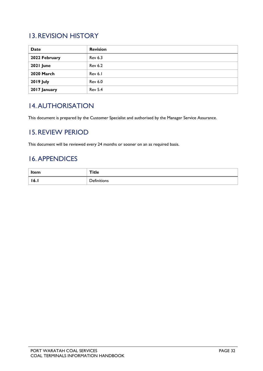# <span id="page-31-0"></span>13.REVISION HISTORY

| Date             | <b>Revision</b> |
|------------------|-----------------|
| 2022 February    | <b>Rev 6.3</b>  |
| 2021 June        | <b>Rev 6.2</b>  |
| 2020 March       | Rev 6.1         |
| <b>2019 July</b> | Rev 6.0         |
| 2017 January     | <b>Rev 5.4</b>  |

# <span id="page-31-1"></span>14.AUTHORISATION

<span id="page-31-2"></span>This document is prepared by the Customer Specialist and authorised by the Manager Service Assurance.

## 15.REVIEW PERIOD

This document will be reviewed every 24 months or sooner on an as required basis.

# <span id="page-31-3"></span>16.APPENDICES

| Item                | Title              |
|---------------------|--------------------|
| $\blacksquare$ 16.1 | <b>Definitions</b> |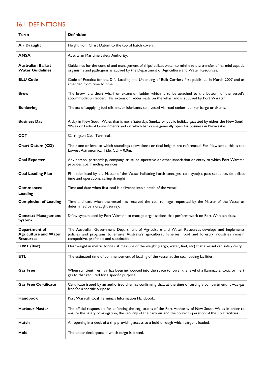## <span id="page-32-0"></span>16.1 DEFINITIONS

| <b>Term</b>                                                       | <b>Definition</b>                                                                                                                                                                                                                                       |
|-------------------------------------------------------------------|---------------------------------------------------------------------------------------------------------------------------------------------------------------------------------------------------------------------------------------------------------|
| <b>Air Draught</b>                                                | Height from Chart Datum to the top of hatch covers.                                                                                                                                                                                                     |
| <b>AMSA</b>                                                       | Australian Maritime Safety Authority.                                                                                                                                                                                                                   |
| <b>Australian Ballast</b><br><b>Water Guidelines</b>              | Guidelines for the control and management of ships' ballast water to minimize the transfer of harmful aquatic<br>organisms and pathogens as applied by the Department of Agriculture and Water Resources.                                               |
| <b>BLU Code</b>                                                   | Code of Practice for the Safe Loading and Unloading of Bulk Carriers first published in March 2007 and as<br>amended from time to time.                                                                                                                 |
| <b>Brow</b>                                                       | The brow is a short wharf or extension ladder which is to be attached to the bottom of the vessel's<br>accommodation ladder. This extension ladder rests on the wharf and is supplied by Port Waratah.                                                  |
| <b>Bunkering</b>                                                  | The act of supplying fuel oils and/or lubricants to a vessel via road tanker, bunker barge or drums.                                                                                                                                                    |
| <b>Business Day</b>                                               | A day in New South Wales that is not a Saturday, Sunday or public holiday gazetted by either the New South<br>Wales or Federal Governments and on which banks are generally open for business in Newcastle.                                             |
| <b>CCT</b>                                                        | Carrington Coal Terminal.                                                                                                                                                                                                                               |
| <b>Chart Datum (CD)</b>                                           | The plane or level to which soundings (elevations) or tidal heights are referenced. For Newcastle, this is the<br>Lowest Astronomical Tide, CD = 0.0m.                                                                                                  |
| <b>Coal Exporter</b>                                              | Any person, partnership, company, trust, co-operative or other association or entity to which Port Waratah<br>provides coal handling services.                                                                                                          |
| <b>Coal Loading Plan</b>                                          | Plan submitted by the Master of the Vessel indicating hatch tonnages, coal type(s), pass sequence, de-ballast<br>time and operations, sailing draught                                                                                                   |
| <b>Commenced</b><br>Loading                                       | Time and date when first coal is delivered into a hatch of the vessel.                                                                                                                                                                                  |
| <b>Completion of Loading</b>                                      | Time and date when the vessel has received the coal tonnage requested by the Master of the Vessel as<br>determined by a draught survey.                                                                                                                 |
| <b>Contract Management</b><br><b>System</b>                       | Safety system used by Port Waratah to manage organisations that perform work on Port Waratah sites.                                                                                                                                                     |
| Department of<br><b>Agriculture and Water</b><br><b>Resources</b> | The Australian Government Department of Agriculture and Water Resources develops and implements<br>policies and programs to ensure Australia's agricultural, fisheries, food and forestry industries remain<br>competitive, profitable and sustainable. |
| DWT (dwt)                                                         | Deadweight in metric tonnes. A measure of the weight (cargo, water, fuel, etc) that a vessel can safely carry.                                                                                                                                          |
| ETL                                                               | The estimated time of commencement of loading of the vessel at the coal loading facilities.                                                                                                                                                             |
| <b>Gas Free</b>                                                   | When sufficient fresh air has been introduced into the space to lower the level of a flammable, toxic or inert<br>gas to that required for a specific purpose.                                                                                          |
| <b>Gas Free Certificate</b>                                       | Certificate issued by an authorised chemist confirming that, at the time of testing a compartment, it was gas<br>free for a specific purpose.                                                                                                           |
| <b>Handbook</b>                                                   | Port Waratah Coal Terminals Information Handbook.                                                                                                                                                                                                       |
| <b>Harbour Master</b>                                             | The official responsible for enforcing the regulations of the Port Authority of New South Wales in order to<br>ensure the safety of navigation, the security of the harbour and the correct operation of the port facilities.                           |
| Hatch                                                             | An opening in a deck of a ship providing access to a hold through which cargo is loaded.                                                                                                                                                                |
| Hold                                                              | The under-deck space in which cargo is placed.                                                                                                                                                                                                          |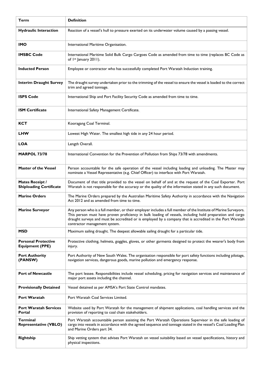| Term                                                 | <b>Definition</b>                                                                                                                                                                                                                                                                                                                                                          |
|------------------------------------------------------|----------------------------------------------------------------------------------------------------------------------------------------------------------------------------------------------------------------------------------------------------------------------------------------------------------------------------------------------------------------------------|
| <b>Hydraulic Interaction</b>                         | Reaction of a vessel's hull to pressure exerted on its underwater volume caused by a passing vessel.                                                                                                                                                                                                                                                                       |
| <b>IMO</b>                                           | International Maritime Organisation.                                                                                                                                                                                                                                                                                                                                       |
| <b>IMSBC Code</b>                                    | International Maritime Solid Bulk Cargo Cargoes Code as amended from time to time (replaces BC Code as<br>of 1st January 2011).                                                                                                                                                                                                                                            |
| <b>Inducted Person</b>                               | Employee or contractor who has successfully completed Port Waratah Induction training.                                                                                                                                                                                                                                                                                     |
| <b>Interim Draught Survey</b>                        | The draught survey undertaken prior to the trimming of the vessel to ensure the vessel is loaded to the correct<br>trim and agreed tonnage.                                                                                                                                                                                                                                |
| <b>ISPS Code</b>                                     | International Ship and Port Facility Security Code as amended from time to time.                                                                                                                                                                                                                                                                                           |
| <b>ISM Certificate</b>                               | International Safety Management Certificate.                                                                                                                                                                                                                                                                                                                               |
| <b>KCT</b>                                           | Kooragang Coal Terminal.                                                                                                                                                                                                                                                                                                                                                   |
| <b>LHW</b>                                           | Lowest High Water. The smallest high tide in any 24 hour period.                                                                                                                                                                                                                                                                                                           |
| <b>LOA</b>                                           | Length Overall.                                                                                                                                                                                                                                                                                                                                                            |
| <b>MARPOL 73/78</b>                                  | International Convention for the Prevention of Pollution from Ships 73/78 with amendments.                                                                                                                                                                                                                                                                                 |
| <b>Master of the Vessel</b>                          | Person accountable for the safe operation of the vessel including loading and unloading. The Master may<br>nominate a Vessel Representative (e.g. Chief Officer) to interface with Port Waratah.                                                                                                                                                                           |
| Mates Receipt /<br><b>Shiploading Certificate</b>    | Document of that title provided to the vessel on behalf of and at the request of the Coal Exporter. Port<br>Waratah is not responsible for the accuracy or the quality of the information stated in any such document.                                                                                                                                                     |
| <b>Marine Orders</b>                                 | The Marine Orders prepared by the Australian Maritime Safety Authority in accordance with the Navigation<br>Act 2012 and as amended from time to time.                                                                                                                                                                                                                     |
| <b>Marine Surveyor</b>                               | Any person who is a full member, or their employer includes a full member of the Institute of Marine Surveyors.<br>This person must have proven proficiency in bulk loading of vessels, including hold preparation and cargo<br>draught surveys and must be accredited or is employed by a company that is accredited in the Port Waratah<br>contractor management system. |
| <b>MSD</b>                                           | Maximum sailing draught. The deepest allowable sailing draught for a particular tide.                                                                                                                                                                                                                                                                                      |
| <b>Personal Protective</b><br><b>Equipment (PPE)</b> | Protective clothing, helmets, goggles, gloves, or other garments designed to protect the wearer's body from<br>injury.                                                                                                                                                                                                                                                     |
| <b>Port Authority</b><br>(PANSW)                     | Port Authority of New South Wales. The organisation responsible for port safety functions including pilotage,<br>navigation services, dangerous goods, marine pollution and emergency response.                                                                                                                                                                            |
| <b>Port of Newcastle</b>                             | The port lessee. Responsibilities include vessel scheduling, pricing for navigation services and maintenance of<br>major port assets including the channel.                                                                                                                                                                                                                |
| <b>Provisionally Detained</b>                        | Vessel detained as per AMSA's Port State Control mandates.                                                                                                                                                                                                                                                                                                                 |
| Port Waratah                                         | Port Waratah Coal Services Limited.                                                                                                                                                                                                                                                                                                                                        |
| <b>Port Waratah Services</b><br>Portal               | Website used by Port Waratah for the management of shipment applications, coal handling services and the<br>provision of reporting to coal chain stakeholders.                                                                                                                                                                                                             |
| Terminal<br><b>Representative (VBLO)</b>             | Port Waratah accountable person assisting the Port Waratah Operations Supervisor in the safe loading of<br>cargo into vessels in accordance with the agreed sequence and tonnage stated in the vessel's Coal Loading Plan<br>and Marine Orders part 34.                                                                                                                    |
| <b>Rightship</b>                                     | Ship vetting system that advises Port Waratah on vessel suitability based on vessel specifications, history and<br>physical inspections.                                                                                                                                                                                                                                   |